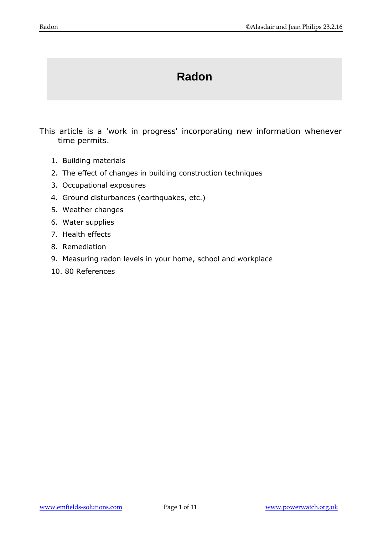# **Radon**

This article is a 'work in progress' incorporating new information whenever time permits.

- 1. Building materials
- 2. The effect of changes in building construction techniques
- 3. Occupational exposures
- 4. Ground disturbances (earthquakes, etc.)
- 5. Weather changes
- 6. Water supplies
- 7. Health effects
- 8. Remediation
- 9. Measuring radon levels in your home, school and workplace
- 10. 80 References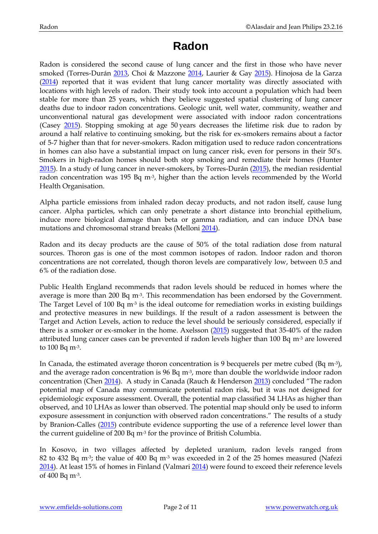## **Radon**

Radon is considered the second cause of lung cancer and the first in those who have never smoked (Torres-Durán [2013,](http://www.ncbi.nlm.nih.gov/pubmed/24333737) Choi & Mazzone [2014,](http://www.ncbi.nlm.nih.gov/pubmed/25183848) Laurier & Gay [2015\)](http://www.ncbi.nlm.nih.gov/pubmed/25842437). Hinojosa de la Garza [\(2014\)](http://www.ncbi.nlm.nih.gov/pubmed/25165752) reported that it was evident that lung cancer mortality was directly associated with locations with high levels of radon. Their study took into account a population which had been stable for more than 25 years, which they believe suggested spatial clustering of lung cancer deaths due to indoor radon concentrations. Geologic unit, well water, community, weather and unconventional natural gas development were associated with indoor radon concentrations (Casey [2015\)](http://www.ncbi.nlm.nih.gov/pubmed/25856050). Stopping smoking at age 50 years decreases the lifetime risk due to radon by around a half relative to continuing smoking, but the risk for ex-smokers remains about a factor of 5-7 higher than that for never-smokers. Radon mitigation used to reduce radon concentrations in homes can also have a substantial impact on lung cancer risk, even for persons in their 50's. Smokers in high-radon homes should both stop smoking and remediate their homes (Hunter [2015\)](http://www.ncbi.nlm.nih.gov/pubmed/26083042). In a study of lung cancer in never-smokers, by Torres-Durán [\(2015\)](http://www.ncbi.nlm.nih.gov/pubmed/26699724), the median residential radon concentration was 195 Bq  $m<sup>3</sup>$ , higher than the action levels recommended by the World Health Organisation.

Alpha particle emissions from inhaled radon decay products, and not radon itself, cause lung cancer. Alpha particles, which can only penetrate a short distance into bronchial epithelium, induce more biological damage than beta or gamma radiation, and can induce DNA base mutations and chromosomal strand breaks (Mellon[i 2014\)](http://www.ncbi.nlm.nih.gov/pubmed/25271226).

Radon and its decay products are the cause of 50% of the total radiation dose from natural sources. Thoron gas is one of the most common isotopes of radon. Indoor radon and thoron concentrations are not correlated, though thoron levels are comparatively low, between 0.5 and 6% of the radiation dose.

Public Health England recommends that radon levels should be reduced in homes where the average is more than 200 Bq m<sup>-3</sup>. This recommendation has been endorsed by the Government. The Target Level of 100 Bq  $m<sup>3</sup>$  is the ideal outcome for remediation works in existing buildings and protective measures in new buildings. If the result of a radon assessment is between the Target and Action Levels, action to reduce the level should be seriously considered, especially if there is a smoker or ex-smoker in the home. Axelsson [\(2015\)](http://www.ncbi.nlm.nih.gov/pubmed/25677843) suggested that 35-40% of the radon attributed lung cancer cases can be prevented if radon levels higher than 100 Bq  $m<sup>3</sup>$  are lowered to 100 Bq m-3.

In Canada, the estimated average thoron concentration is 9 becquerels per metre cubed (Bq m-3), and the average radon concentration is 96 Bq  $m<sup>3</sup>$ , more than double the worldwide indoor radon concentration (Chen [2014\)](http://www.ncbi.nlm.nih.gov/pubmed/24748485). A study in Canada (Rauch & Henderson [2013](http://www.ncbi.nlm.nih.gov/pubmed/23823889)) concluded "The radon potential map of Canada may communicate potential radon risk, but it was not designed for epidemiologic exposure assessment. Overall, the potential map classified 34 LHAs as higher than observed, and 10 LHAs as lower than observed. The potential map should only be used to inform exposure assessment in conjunction with observed radon concentrations." The results of a study by Branion-Calles [\(2015\)](http://www.ncbi.nlm.nih.gov/pubmed/26584618) contribute evidence supporting the use of a reference level lower than the current guideline of 200 Bq m-3 for the province of British Columbia.

In Kosovo, in two villages affected by depleted uranium, radon levels ranged from 82 to 432 Bq m<sup>-3</sup>; the value of 400 Bq m<sup>-3</sup> was exceeded in 2 of the 25 homes measured (Nafezi [2014\)](http://www.ncbi.nlm.nih.gov/pubmed/24051175). At least 15% of homes in Finland (Valmari [2014\)](http://www.ncbi.nlm.nih.gov/pubmed/24729562) were found to exceed their reference levels of 400 Bq m-3.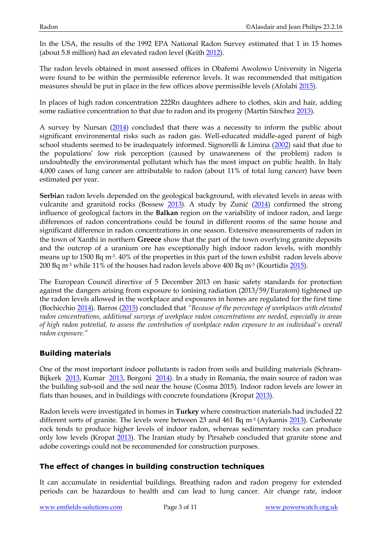In the USA, the results of the 1992 EPA National Radon Survey estimated that 1 in 15 homes (about 5.8 million) had an elevated radon level (Keith [2012\)](http://www.ncbi.nlm.nih.gov/pubmed/24049860).

The radon levels obtained in most assessed offices in Obafemi Awolowo University in Nigeria were found to be within the permissible reference levels. It was recommended that mitigation measures should be put in place in the few offices above permissible levels (Afolabi [2015\)](http://www.ncbi.nlm.nih.gov/pubmed/26578086).

In places of high radon concentration 222Rn daughters adhere to clothes, skin and hair, adding some radiative concentration to that due to radon and its progeny (Martín Sánchez [2013\)](http://www.ncbi.nlm.nih.gov/pubmed/23548693).

A survey by Nursan [\(2014\)](http://www.ncbi.nlm.nih.gov/pubmed/24605711) concluded that there was a necessity to inform the public about significant environmental risks such as radon gas. Well-educated middle-aged parent of high school students seemed to be inadequately informed. Signorelli & Limina [\(2002\)](http://www.ncbi.nlm.nih.gov/pubmed/12162123) said that due to the populations' low risk perception (caused by unawareness of the problem) radon is undoubtedly the environmental pollutant which has the most impact on public health. In Italy 4,000 cases of lung cancer are attributable to radon (about 11% of total lung cancer) have been estimated per year.

**Serbia**n radon levels depended on the geological background, with elevated levels in areas with vulcanite and granitoid rocks (Bossew [2013\)](http://www.ncbi.nlm.nih.gov/pubmed/24231373). A study by Zunić ([2014\)](http://www.ncbi.nlm.nih.gov/pubmed/25305525) confirmed the strong influence of geological factors in the **Balkan** region on the variability of indoor radon, and large differences of radon concentrations could be found in different rooms of the same house and significant difference in radon concentrations in one season. Extensive measurements of radon in the town of Xanthi in northern **Greece** show that the part of the town overlying granite deposits and the outcrop of a uranium ore has exceptionally high indoor radon levels, with monthly means up to 1500 Bq m-3. 40% of the properties in this part of the town exhibit radon levels above 200 Bq m<sup>-3</sup> while 11% of the houses had radon levels above 400 Bq m<sup>-3</sup> (Kourtidis  $\frac{2015}{2015}$ ).

The European Council directive of 5 December 2013 on basic safety standards for protection against the dangers arising from exposure to ionising radiation (2013/59/Euratom) tightened up the radon levels allowed in the workplace and exposures in homes are regulated for the first time (Bochicchio [2014\)](http://www.ncbi.nlm.nih.gov/pubmed/24729590). Barros [\(2015\)](http://www.ncbi.nlm.nih.gov/pubmed/24936021) concluded that *"Because of the percentage of workplaces with elevated radon concentrations, additional surveys of workplace radon concentrations are needed, especially in areas of high radon potential, to assess the contribution of workplace radon exposure to an individual's overall radon exposure."*

## **Building materials**

One of the most important indoor pollutants is radon from soils and building materials (Schram-Bijkerk [2013,](http://www.ncbi.nlm.nih.gov/pubmed/23204013) Kumar [2013,](http://www.ncbi.nlm.nih.gov/pubmed/24158045) Borgoni [2014\)](http://www.ncbi.nlm.nih.gov/pubmed/25261869). In a study in Romania, the main source of radon was the building sub-soil and the soil near the house (Cosma 2015). Indoor radon levels are lower in flats than houses, and in buildings with concrete foundations (Kropat [2013\)](http://www.ncbi.nlm.nih.gov/pubmed/24333637).

Radon levels were investigated in homes in **Turkey** where construction materials had included 22 different sorts of granite. The levels were between 23 and 461 Bq m<sup>-3</sup> (Aykamis [2013\)](http://www.ncbi.nlm.nih.gov/pubmed/23633647). Carbonate rock tends to produce higher levels of indoor radon, whereas sedimentary rocks can produce only low levels (Kropat [2013\)](http://www.ncbi.nlm.nih.gov/pubmed/24333637). The Iranian study by Pirsaheb concluded that granite stone and adobe coverings could not be recommended for construction purposes.

#### **The effect of changes in building construction techniques**

It can accumulate in residential buildings. Breathing radon and radon progeny for extended periods can be hazardous to health and can lead to lung cancer. Air change rate, indoor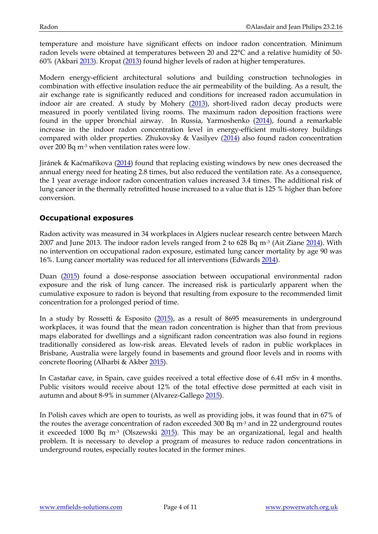temperature and moisture have significant effects on indoor radon concentration. Minimum radon levels were obtained at temperatures between 20 and 22°C and a relative humidity of 50- 60% (Akbari [2013\)](http://www.ncbi.nlm.nih.gov/pubmed/23159846). Kropat [\(2013\)](http://www.ncbi.nlm.nih.gov/pubmed/24333637) found higher levels of radon at higher temperatures.

Modern energy-efficient architectural solutions and building construction technologies in combination with effective insulation reduce the air permeability of the building. As a result, the air exchange rate is significantly reduced and conditions for increased radon accumulation in indoor air are created. A study by Mohery  $(2013)$ , short-lived radon decay products were measured in poorly ventilated living rooms. The maximum radon deposition fractions were found in the upper bronchial airway. In Russia, Yarmoshenko [\(2014\)](http://www.ncbi.nlm.nih.gov/pubmed/24723188), found a remarkable increase in the indoor radon concentration level in energy-efficient multi-storey buildings compared with older properties. Zhukovsky & Vasilyev [\(2014\)](http://www.ncbi.nlm.nih.gov/pubmed/24729591) also found radon concentration over 200 Bq m-3 when ventilation rates were low.

Jiránek & Kaćmařikova ([2014\)](http://www.ncbi.nlm.nih.gov/pubmed/24729563) found that replacing existing windows by new ones decreased the annual energy need for heating 2.8 times, but also reduced the ventilation rate. As a consequence, the 1 year average indoor radon concentration values increased 3.4 times. The additional risk of lung cancer in the thermally retrofitted house increased to a value that is 125 % higher than before conversion.

#### **Occupational exposures**

Radon activity was measured in 34 workplaces in Algiers nuclear research centre between March 2007 and June 2013. The indoor radon levels ranged from 2 to 628 Bq m-3 (Ait Ziane [2014\)](http://www.ncbi.nlm.nih.gov/pubmed/24711531). With no intervention on occupational radon exposure, estimated lung cancer mortality by age 90 was 16%. Lung cancer mortality was reduced for all interventions (Edwards [2014\)](http://www.ncbi.nlm.nih.gov/pubmed/25192403).

Duan [\(2015\)](http://www.ncbi.nlm.nih.gov/pubmed/25117725) found a dose-response association between occupational environmental radon exposure and the risk of lung cancer. The increased risk is particularly apparent when the cumulative exposure to radon is beyond that resulting from exposure to the recommended limit concentration for a prolonged period of time.

In a study by Rossetti & Esposito [\(2015\)](http://www.ncbi.nlm.nih.gov/pubmed/25183837), as a result of 8695 measurements in underground workplaces, it was found that the mean radon concentration is higher than that from previous maps elaborated for dwellings and a significant radon concentration was also found in regions traditionally considered as low-risk areas. Elevated levels of radon in public workplaces in Brisbane, Australia were largely found in basements and ground floor levels and in rooms with concrete flooring (Alharbi & Akber [2015\)](http://www.ncbi.nlm.nih.gov/pubmed/25827573).

In Castañar cave, in Spain, cave guides received a total effective dose of 6.41 mSv in 4 months. Public visitors would receive about 12% of the total effective dose permitted at each visit in autumn and about 8-9% in summer (Alvarez-Gallego [2015\)](http://www.ncbi.nlm.nih.gov/pubmed/25863322).

In Polish caves which are open to tourists, as well as providing jobs, it was found that in 67% of the routes the average concentration of radon exceeded 300 Bq  $m<sup>3</sup>$  and in 22 underground routes it exceeded 1000 Bq  $m<sup>3</sup>$  (Olszewski  $2015$ ). This may be an organizational, legal and health problem. It is necessary to develop a program of measures to reduce radon concentrations in underground routes, especially routes located in the former mines.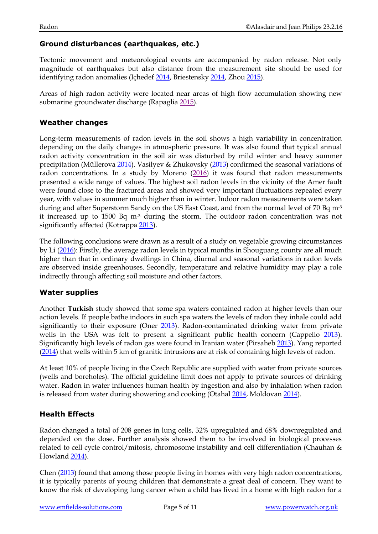#### **Ground disturbances (earthquakes, etc.)**

Tectonic movement and meteorological events are accompanied by radon release. Not only magnitude of earthquakes but also distance from the measurement site should be used for identifying radon anomalies (Içhedef [2014,](http://www.ncbi.nlm.nih.gov/pubmed/24530978) Briestensky [2014,](http://www.ncbi.nlm.nih.gov/pubmed/24711525) Zhou [2015\)](http://www.ncbi.nlm.nih.gov/pubmed/26486131).

Areas of high radon activity were located near areas of high flow accumulation showing new submarine groundwater discharge (Rapaglia [2015\)](http://www.ncbi.nlm.nih.gov/pubmed/25863321).

#### **Weather changes**

Long-term measurements of radon levels in the soil shows a high variability in concentration depending on the daily changes in atmospheric pressure. It was also found that typical annual radon activity concentration in the soil air was disturbed by mild winter and heavy summer precipitation (Műllerova [2014\)](http://www.ncbi.nlm.nih.gov/pubmed/24723197). Vasilyev & Zhukovsky [\(2013\)](http://www.ncbi.nlm.nih.gov/pubmed/23811128) confirmed the seasonal variations of radon concentrations. In a study by Moreno [\(2016\)](http://www.ncbi.nlm.nih.gov/pubmed/26551588) it was found that radon measurements presented a wide range of values. The highest soil radon levels in the vicinity of the Amer fault were found close to the fractured areas and showed very important fluctuations repeated every year, with values in summer much higher than in winter. Indoor radon measurements were taken during and after Superstorm Sandy on the US East Coast, and from the normal level of 70 Bq m<sup>-3</sup> it increased up to 1500 Bq  $m<sup>3</sup>$  during the storm. The outdoor radon concentration was not significantly affected (Kotrappa [2013\)](http://www.ncbi.nlm.nih.gov/pubmed/23798707).

The following conclusions were drawn as a result of a study on vegetable growing circumstances by Li [\(2016\)](http://www.ncbi.nlm.nih.gov/pubmed/26771243): Firstly, the average radon levels in typical months in Shouguang county are all much higher than that in ordinary dwellings in China, diurnal and seasonal variations in radon levels are observed inside greenhouses. Secondly, temperature and relative humidity may play a role indirectly through affecting soil moisture and other factors.

#### **Water supplies**

Another **Turkish** study showed that some spa waters contained radon at higher levels than our action levels. If people bathe indoors in such spa waters the levels of radon they inhale could add significantly to their exposure (Oner [2013\)](http://www.ncbi.nlm.nih.gov/pubmed/23685534). Radon-contaminated drinking water from private wells in the USA was felt to present a significant public health concern (Cappello [2013\)](http://www.ncbi.nlm.nih.gov/pubmed/24341157). Significantly high levels of radon gas were found in Iranian water (Pirsaheb [2013\)](http://www.ncbi.nlm.nih.gov/pubmed/24719680). Yang reported [\(2014\)](http://www.ncbi.nlm.nih.gov/pubmed/24655434) that wells within 5 km of granitic intrusions are at risk of containing high levels of radon.

At least 10% of people living in the Czech Republic are supplied with water from private sources (wells and boreholes). The official guideline limit does not apply to private sources of drinking water. Radon in water influences human health by ingestion and also by inhalation when radon is released from water during showering and cooking (Otaha[l 2014,](http://www.ncbi.nlm.nih.gov/pubmed/24714110) Moldovan [2014\)](http://www.ncbi.nlm.nih.gov/pubmed/25031036).

#### **Health Effects**

Radon changed a total of 208 genes in lung cells, 32% upregulated and 68% downregulated and depended on the dose. Further analysis showed them to be involved in biological processes related to cell cycle control/mitosis, chromosome instability and cell differentiation (Chauhan & Howland [2014\)](http://www.ncbi.nlm.nih.gov/pubmed/24945610).

Chen [\(2013\)](http://www.ncbi.nlm.nih.gov/pubmed/23698696) found that among those people living in homes with very high radon concentrations, it is typically parents of young children that demonstrate a great deal of concern. They want to know the risk of developing lung cancer when a child has lived in a home with high radon for a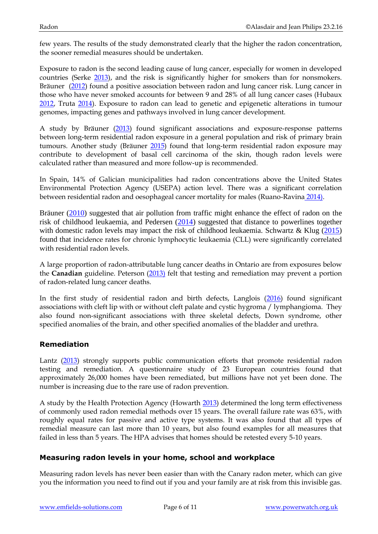few years. The results of the study demonstrated clearly that the higher the radon concentration, the sooner remedial measures should be undertaken.

Exposure to radon is the second leading cause of lung cancer, especially for women in developed countries (Serke [2013\)](http://www.ncbi.nlm.nih.gov/pubmed/23677552), and the risk is significantly higher for smokers than for nonsmokers. Bräuner [\(2012\)](http://www.ncbi.nlm.nih.gov/pubmed/22749110) found a positive association between radon and lung cancer risk. Lung cancer in those who have never smoked accounts for between 9 and 28% of all lung cancer cases (Hubaux [2012,](http://www.ncbi.nlm.nih.gov/pubmed/23173984) Truta [2014\)](http://www.ncbi.nlm.nih.gov/pubmed/24751985). Exposure to radon can lead to genetic and epigenetic alterations in tumour genomes, impacting genes and pathways involved in lung cancer development.

A study by Bräuner [\(2013\)](http://www.ncbi.nlm.nih.gov/pubmed/24066143) found significant associations and exposure-response patterns between long-term residential radon exposure in a general population and risk of primary brain tumours. Another study (Bräuner [2015\)](http://www.ncbi.nlm.nih.gov/pubmed/26274607) found that long-term residential radon exposure may contribute to development of basal cell carcinoma of the skin, though radon levels were calculated rather than measured and more follow-up is recommended.

In Spain, 14% of Galician municipalities had radon concentrations above the United States Environmental Protection Agency (USEPA) action level. There was a significant correlation between residential radon and oesophageal cancer mortality for males (Ruano-Ravina [2014\).](http://www.ncbi.nlm.nih.gov/pubmed/24460133)

Bräuner [\(2010\)](http://www.ncbi.nlm.nih.gov/pubmed/20607382) suggested that air pollution from traffic might enhance the effect of radon on the risk of childhood leukaemia, and Pedersen [\(2014\)](http://www.ncbi.nlm.nih.gov/pubmed/25259740) suggested that distance to powerlines together with domestic radon levels may impact the risk of childhood leukaemia. Schwartz & Klug [\(2015\)](http://www.ncbi.nlm.nih.gov/pubmed/26515766) found that incidence rates for chronic lymphocytic leukaemia (CLL) were significantly correlated with residential radon levels.

A large proportion of radon-attributable lung cancer deaths in Ontario are from exposures below the **Canadian** guideline. Peterson [\(2013\)](http://www.ncbi.nlm.nih.gov/pubmed/23982909) felt that testing and remediation may prevent a portion of radon-related lung cancer deaths.

In the first study of residential radon and birth defects, Langlois [\(2016\)](http://www.ncbi.nlm.nih.gov/pubmed/25846606) found significant associations with cleft lip with or without cleft palate and cystic hygroma / lymphangioma. They also found non-significant associations with three skeletal defects, Down syndrome, other specified anomalies of the brain, and other specified anomalies of the bladder and urethra.

#### **Remediation**

Lantz [\(2013\)](http://www.ncbi.nlm.nih.gov/pubmed/23327258) strongly supports public communication efforts that promote residential radon testing and remediation. A questionnaire study of 23 European countries found that approximately 26,000 homes have been remediated, but millions have not yet been done. The number is increasing due to the rare use of radon prevention.

A study by the Health Protection Agency (Howarth [2013\)](http://www.ncbi.nlm.nih.gov/pubmed/24025515) determined the long term effectiveness of commonly used radon remedial methods over 15 years. The overall failure rate was 63%, with roughly equal rates for passive and active type systems. It was also found that all types of remedial measure can last more than 10 years, but also found examples for all measures that failed in less than 5 years. The HPA advises that homes should be retested every 5-10 years.

#### **Measuring radon levels in your home, school and workplace**

Measuring radon levels has never been easier than with the Canary radon meter, which can give you the information you need to find out if you and your family are at risk from this invisible gas.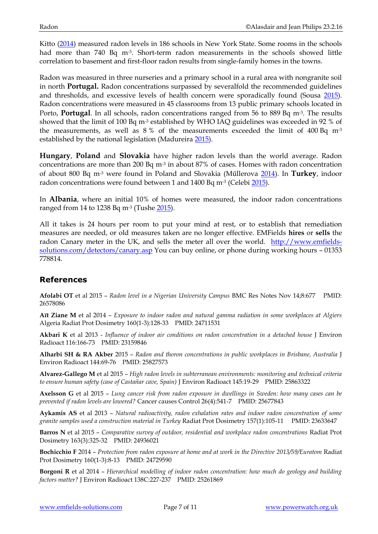Kitto [\(2014\)](http://www.ncbi.nlm.nih.gov/pubmed/25117690) measured radon levels in 186 schools in New York State. Some rooms in the schools had more than 740 Bq m<sup>-3</sup>. Short-term radon measurements in the schools showed little correlation to basement and first-floor radon results from single-family homes in the towns.

Radon was measured in three nurseries and a primary school in a rural area with nongranite soil in north **Portugal.** Radon concentrations surpassed by severalfold the recommended guidelines and thresholds, and excessive levels of health concern were sporadically found (Sousa [2015\)](http://www.ncbi.nlm.nih.gov/pubmed/26167747). Radon concentrations were measured in 45 classrooms from 13 public primary schools located in Porto, **Portugal**. In all schools, radon concentrations ranged from 56 to 889 Bq m<sup>-3</sup>. The results showed that the limit of 100 Bq m-3 established by WHO IAQ guidelines was exceeded in 92 % of the measurements, as well as  $8\%$  of the measurements exceeded the limit of  $400$  Bq m<sup>-3</sup> established by the national legislation (Madureir[a 2015\)](http://www.ncbi.nlm.nih.gov/pubmed/26100326).

**Hungary**, **Poland** and **Slovakia** have higher radon levels than the world average. Radon concentrations are more than 200 Bq m-3 in about 87% of cases. Homes with radon concentration of about 800 Bq m-3 were found in Poland and Slovakia (Műllerova [2014\)](http://www.ncbi.nlm.nih.gov/pubmed/24723197). In **Turkey**, indoor radon concentrations were found between 1 and 1400 Bq m<sup>-3</sup> (Celebi  $\frac{2015}{10}$ ).

In **Albania**, where an initial 10% of homes were measured, the indoor radon concentrations ranged from 14 to 1238 Bq m-3 (Tushe [2015\)](http://www.ncbi.nlm.nih.gov/pubmed/26656073).

All it takes is 24 hours per room to put your mind at rest, or to establish that remediation measures are needed, or old measures taken are no longer effective. EMFields **hires** or **sells** the radon Canary meter in the UK, and sells the meter all over the world. [http://www.emfields](http://www.emfields-solutions.com/detectors/canary.asp)[solutions.com/detectors/canary.asp](http://www.emfields-solutions.com/detectors/canary.asp) You can buy online, or phone during working hours – 01353 778814.

## **References**

**Afolabi OT** et al 2015 – *Radon level in a Nigerian University Campus* BMC Res Notes Nov 14;8:677 PMID: 26578086

**Aït Ziane M** et al 2014 – *Exposure to indoor radon and natural gamma radiation in some workplaces at Algiers* Algeria Radiat Prot Dosimetry 160(1-3):128-33 PMID: 24711531

**Akbari K** et al 2013 - *Influence of indoor air conditions on radon concentration in a detached house* J Environ Radioact 116:166-73 PMID: 23159846

**Alharbi SH & RA Akber** 2015 – *Radon and thoron concentrations in public workplaces in Brisbane, Australia* J Environ Radioact 144:69-76 PMID: 25827573

**Alvarez-Gallego M** et al 2015 – *High radon levels in subterranean environments: monitoring and technical criteria to ensure human safety (case of Castañar cave, Spain)* J Environ Radioact 145:19-29 PMID: 25863322

**Axelsson G** et al 2015 – *Lung cancer risk from radon exposure in dwellings in Sweden: how many cases can be prevented if radon levels are lowered?* Cancer causes Control 26(4):541-7 PMID: 25677843

**Aykamis AS** et al 2013 – *Natural radioactivity, radon exhalation rates and indoor radon concentration of some granite samples used a construction material in Turkey* Radiat Prot Dosimetry 157(1):105-11 PMID: 23633647

**Barros N** et al 2015 – *Comparative survey of outdoor, residential and workplace radon concentrations* Radiat Prot Dosimetry 163(3):325-32 PMID: 24936021

**Bochicchio F** 2014 – *Protection from radon exposure at home and at work in the Directive 2013/59/Euratom* Radiat Prot Dosimetry 160(1-3):8-13 PMID: 24729590

**Borgoni R** et al 2014 – *Hierarchical modelling of indoor radon concentration: how much do geology and building factors matter?* J Environ Radioact 138C:227-237 PMID: 25261869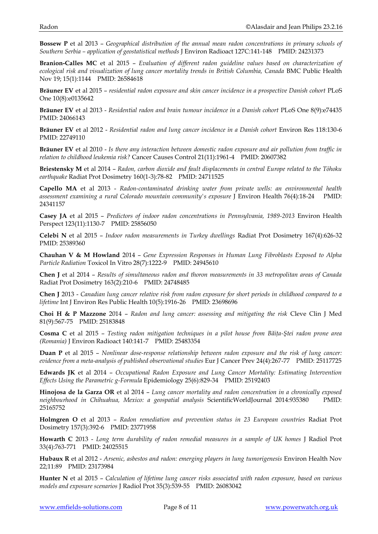**Bossew P** et al 2013 – *Geographical distribution of the annual mean radon concentrations in primary schools of Southern Serbia – application of geostatistical methods* J Environ Radioact 127C:141-148 PMID: 24231373

**Branion-Calles MC** et al 2015 – *Evaluation of different radon guideline values based on characterization of ecological risk and visualization of lung cancer mortality trends in British Columbia, Canada* BMC Public Health Nov 19; 15(1):1144 PMID: 26584618

**Bräuner EV** et al 2015 – *residential radon exposure and skin cancer incidence in a prospective Danish cohort* PLoS One 10(8):e0135642

**Bräuner EV** et al 2013 - *Residential radon and brain tumour incidence in a Danish cohort* PLoS One 8(9):e74435 PMID: 24066143

**Bräuner EV** et al 2012 - *Residential radon and lung cancer incidence in a Danish cohort* Environ Res 118:130-6 PMID: 22749110

**Bräuner EV** et al 2010 - *Is there any interaction between domestic radon exposure and air pollution from traffic in relation to childhood leukemia risk?* Cancer Causes Control 21(11):1961-4 PMID: 20607382

**Briestensky M** et al 2014 – *Radon, carbon dioxide and fault displacements in central Europe related to the Tōhoku earthquake* Radiat Prot Dosimetry 160(1-3):78-82 PMID: 24711525

**Capello MA** et al 2013 - *Radon-contaminated drinking water from private wells: an environmental health assessment examining a rural Colorado mountain community's exposure* J Environ Health 76(4):18-24 PMID: 24341157

**Casey JA** et al 2015 – *Predictors of indoor radon concentrations in Pennsylvania, 1989-2013* Environ Health Perspect 123(11):1130-7 PMID: 25856050

**Celebi N** et al 2015 – *Indoor radon measurements in Turkey dwellings* Radiat Prot Dosimetry 167(4):626-32 PMID: 25389360

**Chauhan V & M Howland** 2014 – *Gene Expression Responses in Human Lung Fibroblasts Exposed to Alpha Particle Radiation* Toxicol In Vitro 28(7):1222-9 PMID: 24945610

**Chen J** et al 2014 – *Results of simultaneous radon and thoron measurements in 33 metropolitan areas of Canada* Radiat Prot Dosimetry 163(2):210-6 PMID: 24748485

**Chen J** 2013 - *Canadian lung cancer relative risk from radon exposure for short periods in childhood compared to a lifetime* Int J Environ Res Public Health 10(5):1916-26 PMID: 23698696

**Choi H & P Mazzone** 2014 – *Radon and lung cancer: assessing and mitigating the risk* Cleve Clin J Med 81(9):567-75 PMID: 25183848

**Cosma C** et al 2015 – *Testing radon mitigation techniques in a pilot house from Băiţa-Ştei radon prone area (Romania)* J Environ Radioact 140:141-7 PMID: 25483354

**Duan P** et al 2015 – *Nonlinear dose-response relationship between radon exposure and the risk of lung cancer: evidence from a meta-analysis of published observational studies* Eur J Cancer Prev 24(4):267-77 PMID: 25117725

**Edwards JK** et al 2014 – *Occupational Radon Exposure and Lung Cancer Mortality: Estimating Intervention Effects Using the Parametric g-Formula* Epidemiology 25(6):829-34 PMID: 25192403

**Hinojosa de la Garza OR** et al 2014 – *Lung cancer mortality and radon concentration in a chronically exposed neighbourhood in Chihuahua, Mexico: a geospatial analysis* ScientificWorldJournal 2014:935380 PMID: 25165752

**Holmgren O** et al 2013 – *Radon remediation and prevention status in 23 European countries* Radiat Prot Dosimetry 157(3):392-6 PMID: 23771958

**Howarth C** 2013 - *Long term durability of radon remedial measures in a sample of UK homes* J Radiol Prot 33(4):763-771 PMID: 24025515

**Hubaux R** et al 2012 - *Arsenic, asbestos and radon: emerging players in lung tumorigenesis* Environ Health Nov 22;11:89 PMID: 23173984

**Hunter N** et al 2015 – *Calculation of lifetime lung cancer risks associated with radon exposure, based on various models and exposure scenarios* J Radiol Prot 35(3):539-55 PMID: 26083042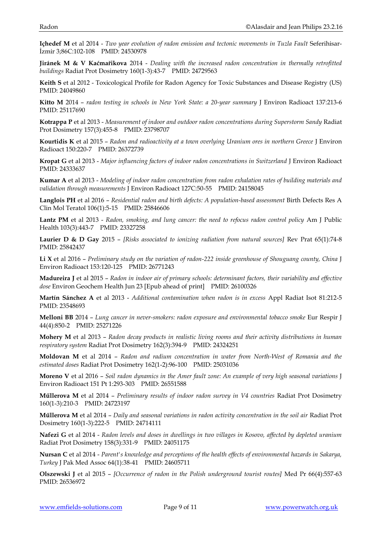**Içhedef M** et al 2014 - *Two year evolution of radon emission and tectonic movements in Tuzla Fault* Seferihisar-İzmir 3;86C:102-108 PMID: 24530978

**Jiránek M & V Kaćmařikova** 2014 - *Dealing with the increased radon concentration in thermally retrofitted buildings* Radiat Prot Dosimetry 160(1-3):43-7 PMID: 24729563

**Keith S** et al 2012 - Toxicological Profile for Radon Agency for Toxic Substances and Disease Registry (US) PMID: 24049860

**Kitto M** 2014 – *radon testing in schools in New York State: a 20-year summary* J Environ Radioact 137:213-6 PMID: 25117690

**Kotrappa P** et al 2013 - *Measurement of indoor and outdoor radon concentrations during Superstorm Sandy* Radiat Prot Dosimetry 157(3):455-8 PMID: 23798707

**Kourtidis K** et al 2015 – *Radon and radioactivity at a town overlying Uranium ores in northern Greece* J Environ Radioact 150:220-7 PMID: 26372739

**Kropat G** et al 2013 - *Major influencing factors of indoor radon concentrations in Switzerland* J Environ Radioact PMID: 24333637

**Kumar A** et al 2013 - *Modeling of indoor radon concentration from radon exhalation rates of building materials and validation through measurements* J Environ Radioact 127C:50-55 PMID: 24158045

**Langlois PH** et al 2016 – *Residential radon and birth defects: A population-based assessment* Birth Defects Res A Clin Mol Teratol 106(1):5-15 PMID: 25846606

**Lantz PM** et al 2013 - *Radon, smoking, and lung cancer: the need to refocus radon control policy* Am J Public Health 103(3):443-7 PMID: 23327258

**Laurier D & D Gay** 2015 – *[Risks associated to ionizing radiation from natural sources]* Rev Prat 65(1):74-8 PMID: 25842437

**Li X** et al 2016 – *Preliminary study on the variation of radon-222 inside greenhouse of Shouguang county, China* J Environ Radioact 153:120-125 PMID: 26771243

**Madureira J** et al 2015 – *Radon in indoor air of primary schools: determinant factors, their variability and effective dose* Environ Geochem Health Jun 23 [Epub ahead of print] PMID: 26100326

**Martín Sánchez A** et al 2013 - *Additional contamination when radon is in excess* Appl Radiat Isot 81:212-5 PMID: 23548693

**Melloni BB** 2014 – *Lung cancer in never-smokers: radon exposure and environmental tobacco smoke* Eur Respir J 44(4):850-2 PMID: 25271226

**Mohery M** et al 2013 – *Radon decay products in realistic living rooms and their activity distributions in human respiratory system* Radiat Prot Dosimetry 162(3):394-9 PMID: 24324251

**Moldovan M** et al 2014 – *Radon and radium concentration in water from North-West of Romania and the estimated doses* Radiat Prot Dosimetry 162(1-2):96-100 PMID: 25031036

**Moreno V** et al 2016 – *Soil radon dynamics in the Amer fault zone: An example of very high seasonal variations* J Environ Radioact 151 Pt 1:293-303 PMID: 26551588

**Műllerova M** et al 2014 – *Preliminary results of indoor radon survey in V4 countries* Radiat Prot Dosimetry 160(1-3):210-3 PMID: 24723197

**Műllerova M** et al 2014 – *Daily and seasonal variations in radon activity concentration in the soil air* Radiat Prot Dosimetry 160(1-3):222-5 PMID: 24714111

**Nafezi G** et al 2014 - *Radon levels and doses in dwellings in two villages in Kosovo, affected by depleted uranium* Radiat Prot Dosimetry 158(3):331-9 PMID: 24051175

**Nursan C** et al 2014 - *Parent's knowledge and perceptions of the health effects of environmental hazards in Sakarya, Turkey* J Pak Med Assoc 64(1):38-41 PMID: 24605711

**Olszewski J** et al 2015 – *[Occurrence of radon in the Polish underground tourist routes]* Med Pr 66(4):557-63 PMID: 26536972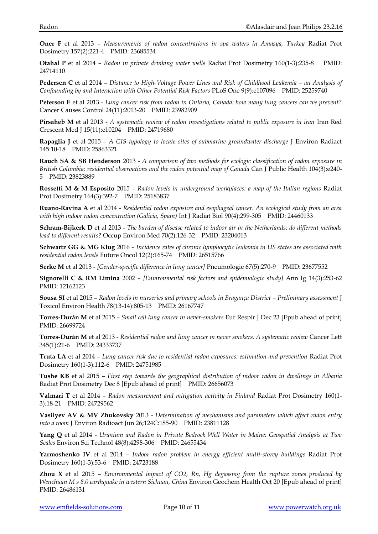**Oner F** et al 2013 – *Measurements of radon concentrations in spa waters in Amasya, Turkey* Radiat Prot Dosimetry 157(2):221-4 PMID: 23685534

**Otahal P** et al 2014 – *Radon in private drinking water wells* Radiat Prot Dosimetry 160(1-3):235-8 PMID: 24714110

**Pedersen C** et al 2014 – *Distance to High-Voltage Power Lines and Risk of Childhood Leukemia – an Analysis of Confounding by and Interaction with Other Potential Risk Factors* PLoS One 9(9):e107096 PMID: 25259740

**Peterson E** et al 2013 - *Lung cancer risk from radon in Ontario, Canada: how many lung cancers can we prevent?* Cancer Causes Control 24(11):2013-20 PMID: 23982909

**Pirsaheb M** et al 2013 - *A systematic review of radon investigations related to public exposure in iran* Iran Red Crescent Med J 15(11):e10204 PMID: 24719680

**Rapaglia J** et al 2015 – *A GIS typology to locate sites of submarine groundwater discharge* J Environ Radiact 145:10-18 PMID: 25863321

**Rauch SA & SB Henderson** 2013 - *A comparison of two methods for ecologic classification of radon exposure in British Columbia: residential observations and the radon potential map of Canada* Can J Public Health 104(3):e240- 5 PMID: 23823889

**Rossetti M & M Esposito** 2015 – *Radon levels in underground workplaces: a map of the Italian regions* Radiat Prot Dosimetry 164(3):392-7 PMID: 25183837

**Ruano-Ravina A** et al 2014 - *Residential radon exposure and esophageal cancer. An ecological study from an area with high indoor radon concentration (Galicia, Spain)* Int J Radiat Biol 90(4):299-305 PMID: 24460133

**Schram-Bijkerk D** et al 2013 - *The burden of disease related to indoor air in the Netherlands: do different methods lead to different results?* Occup Environ Med 70(2):126-32 PMID: 23204013

**Schwartz GG & MG Klug** 2016 – *Incidence rates of chronic lymphocytic leukemia in US states are associated with residential radon levels* Future Oncol 12(2):165-74 PMID: 26515766

**Serke M** et al 2013 - *[Gender-specific difference in lung cancer]* Pneumologie 67(5):270-9 PMID: 23677552

**Signorelli C & RM Limina** 2002 – *[Environmental risk factors and epidemiologic study]* Ann Ig 14(3):253-62 PMID: 12162123

**Sousa SI** et al 2015 – *Radon levels in nurseries and primary schools in Bragança District – Preliminary assessment* J Toxicol Environ Health 78(13-14):805-13 PMID: 26167747

**Torres-Durán M** et al 2015 – *Small cell lung cancer in never-smokers* Eur Respir J Dec 23 [Epub ahead of print] PMID: 26699724

**Torres-Durán M** et al 2013 - *Residential radon and lung cancer in never smokers. A systematic review* Cancer Lett 345(1):21-6 PMID: 24333737

**Truta LA** et al 2014 – *Lung cancer risk due to residential radon exposures: estimation and prevention* Radiat Prot Dosimetry 160(1-3):112-6 PMID: 24751985

**Tushe KB** et al 2015 – *First step towards the geographical distribution of indoor radon in dwellings in Albania*  Radiat Prot Dosimetry Dec 8 [Epub ahead of print] PMID: 26656073

**Valmari T** et al 2014 – *Radon measurement and mitigation activity in Finland* Radiat Prot Dosimetry 160(1- 3):18-21 PMID: 24729562

**Vasilyev AV & MV Zhukovsky** 2013 - *Determination of mechanisms and parameters which affect radon entry into a room* J Environ Radioact Jun 26;124C:185-90 PMID: 23811128

**Yang Q** et al 2014 - *Uranium and Radon in Private Bedrock Well Water in Maine: Geospatial Analysis at Two Scales* Environ Sci Technol 48(8):4298-306 PMID: 24655434

**Yarmoshenko IV** et al 2014 – *Indoor radon problem in energy efficient multi-storey buildings* Radiat Prot Dosimetry 160(1-3):53-6 PMID: 24723188

**Zhou X** et al 2015 – *Environmental impact of CO2, Rn, Hg degassing from the rupture zones produced by Wenchuan M s 8.0 earthquake in western Sichuan, China* Environ Geochem Health Oct 20 [Epub ahead of print] PMID: 26486131